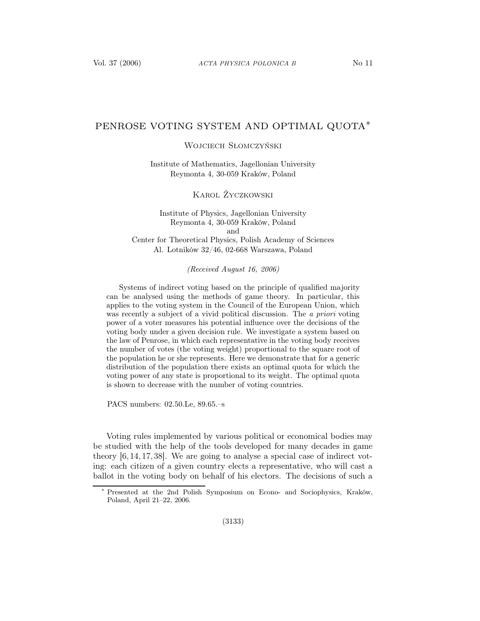## PENROSE VOTING SYSTEM AND OPTIMAL QUOTA∗

Wojciech Słomczyński

Institute of Mathematics, Jagellonian University Reymonta 4, 30-059 Kraków, Poland

Karol Życzkowski

Institute of Physics, Jagellonian University Reymonta 4, 30-059 Kraków, Poland and Center for Theoretical Physics, Polish Academy of Sciences Al. Lotników 32/46, 02-668 Warszawa, Poland

(Received August 16, 2006)

Systems of indirect voting based on the principle of qualified majority can be analysed using the methods of game theory. In particular, this applies to the voting system in the Council of the European Union, which was recently a subject of a vivid political discussion. The a priori voting power of a voter measures his potential influence over the decisions of the voting body under a given decision rule. We investigate a system based on the law of Penrose, in which each representative in the voting body receives the number of votes (the voting weight) proportional to the square root of the population he or she represents. Here we demonstrate that for a generic distribution of the population there exists an optimal quota for which the voting power of any state is proportional to its weight. The optimal quota is shown to decrease with the number of voting countries.

PACS numbers: 02.50.Le, 89.65.–s

Voting rules implemented by various political or economical bodies may be studied with the help of the tools developed for many decades in game theory [6, 14, 17, 38]. We are going to analyse a special case of indirect voting: each citizen of a given country elects a representative, who will cast a ballot in the voting body on behalf of his electors. The decisions of such a

<sup>∗</sup> Presented at the 2nd Polish Symposium on Econo- and Sociophysics, Kraków, Poland, April 21–22, 2006.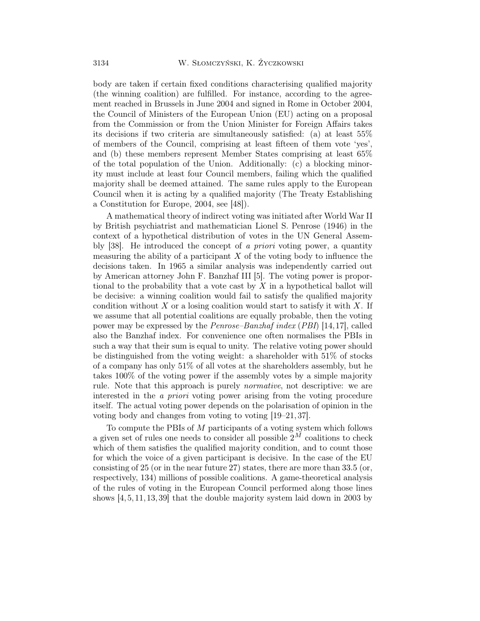body are taken if certain fixed conditions characterising qualified majority (the winning coalition) are fulfilled. For instance, according to the agreement reached in Brussels in June 2004 and signed in Rome in October 2004, the Council of Ministers of the European Union (EU) acting on a proposal from the Commission or from the Union Minister for Foreign Affairs takes its decisions if two criteria are simultaneously satisfied: (a) at least 55% of members of the Council, comprising at least fifteen of them vote 'yes', and (b) these members represent Member States comprising at least 65% of the total population of the Union. Additionally: (c) a blocking minority must include at least four Council members, failing which the qualified majority shall be deemed attained. The same rules apply to the European Council when it is acting by a qualified majority (The Treaty Establishing a Constitution for Europe, 2004, see [48]).

A mathematical theory of indirect voting was initiated after World War II by British psychiatrist and mathematician Lionel S. Penrose (1946) in the context of a hypothetical distribution of votes in the UN General Assembly [38]. He introduced the concept of a priori voting power, a quantity measuring the ability of a participant  $X$  of the voting body to influence the decisions taken. In 1965 a similar analysis was independently carried out by American attorney John F. Banzhaf III [5]. The voting power is proportional to the probability that a vote cast by  $X$  in a hypothetical ballot will be decisive: a winning coalition would fail to satisfy the qualified majority condition without  $X$  or a losing coalition would start to satisfy it with  $X$ . If we assume that all potential coalitions are equally probable, then the voting power may be expressed by the Penrose–Banzhaf index (PBI) [14,17], called also the Banzhaf index. For convenience one often normalises the PBIs in such a way that their sum is equal to unity. The relative voting power should be distinguished from the voting weight: a shareholder with 51% of stocks of a company has only 51% of all votes at the shareholders assembly, but he takes 100% of the voting power if the assembly votes by a simple majority rule. Note that this approach is purely normative, not descriptive: we are interested in the a priori voting power arising from the voting procedure itself. The actual voting power depends on the polarisation of opinion in the voting body and changes from voting to voting [19–21, 37].

To compute the PBIs of M participants of a voting system which follows a given set of rules one needs to consider all possible  $2^M$  coalitions to check which of them satisfies the qualified majority condition, and to count those for which the voice of a given participant is decisive. In the case of the EU consisting of 25 (or in the near future 27) states, there are more than 33.5 (or, respectively, 134) millions of possible coalitions. A game-theoretical analysis of the rules of voting in the European Council performed along those lines shows [4,5,11,13,39] that the double majority system laid down in 2003 by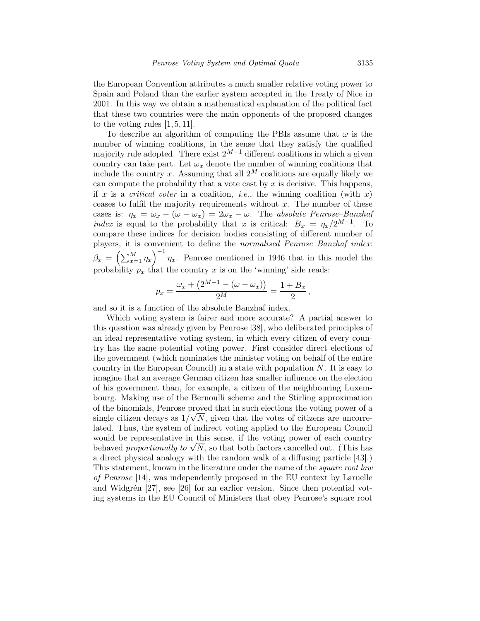the European Convention attributes a much smaller relative voting power to Spain and Poland than the earlier system accepted in the Treaty of Nice in 2001. In this way we obtain a mathematical explanation of the political fact that these two countries were the main opponents of the proposed changes to the voting rules  $[1, 5, 11]$ .

To describe an algorithm of computing the PBIs assume that  $\omega$  is the number of winning coalitions, in the sense that they satisfy the qualified majority rule adopted. There exist  $2^{M-1}$  different coalitions in which a given country can take part. Let  $\omega_x$  denote the number of winning coalitions that include the country x. Assuming that all  $2^M$  coalitions are equally likely we can compute the probability that a vote cast by  $x$  is decisive. This happens, if x is a critical voter in a coalition, *i.e.*, the winning coalition (with x) ceases to fulfil the majority requirements without  $x$ . The number of these cases is:  $\eta_x = \omega_x - (\omega - \omega_x) = 2\omega_x - \omega$ . The absolute Penrose–Banzhaf index is equal to the probability that x is critical:  $B_x = \eta_x/2^{M-1}$ . To compare these indices for decision bodies consisting of different number of players, it is convenient to define the normalised Penrose–Banzhaf index:  $\beta_x = \left(\sum_{x=1}^M \eta_x\right)^{-1} \eta_x$ . Penrose mentioned in 1946 that in this model the probability  $p_x$  that the country x is on the 'winning' side reads:

$$
p_x = \frac{\omega_x + (2^{M-1} - (\omega - \omega_x))}{2^M} = \frac{1 + B_x}{2},
$$

and so it is a function of the absolute Banzhaf index.

Which voting system is fairer and more accurate? A partial answer to this question was already given by Penrose [38], who deliberated principles of an ideal representative voting system, in which every citizen of every country has the same potential voting power. First consider direct elections of the government (which nominates the minister voting on behalf of the entire country in the European Council) in a state with population  $N$ . It is easy to imagine that an average German citizen has smaller influence on the election of his government than, for example, a citizen of the neighbouring Luxembourg. Making use of the Bernoulli scheme and the Stirling approximation of the binomials, Penrose proved that in such elections the voting power of a single citizen decays as  $1/\sqrt{N}$ , given that the votes of citizens are uncorrelated. Thus, the system of indirect voting applied to the European Council would be representative in this sense, if the voting power of each country behaved proportionally to  $\sqrt{N}$ , so that both factors cancelled out. (This has a direct physical analogy with the random walk of a diffusing particle [43].) This statement, known in the literature under the name of the *square root law* of Penrose [14], was independently proposed in the EU context by Laruelle and Widgrén [27], see [26] for an earlier version. Since then potential voting systems in the EU Council of Ministers that obey Penrose's square root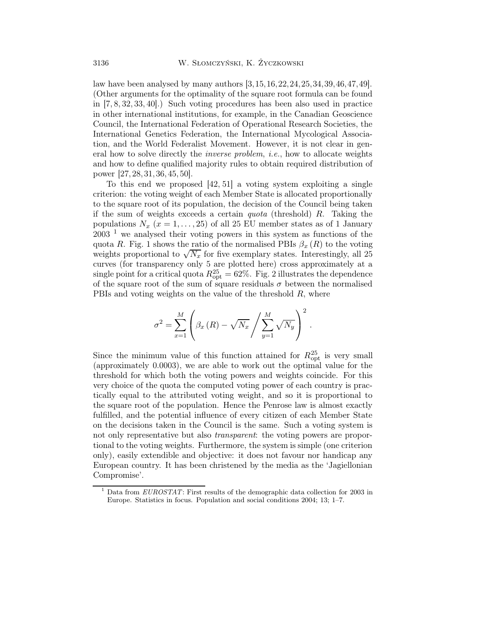law have been analysed by many authors [3,15,16,22,24,25,34,39,46,47,49]. (Other arguments for the optimality of the square root formula can be found in [7, 8, 32, 33, 40].) Such voting procedures has been also used in practice in other international institutions, for example, in the Canadian Geoscience Council, the International Federation of Operational Research Societies, the International Genetics Federation, the International Mycological Association, and the World Federalist Movement. However, it is not clear in general how to solve directly the inverse problem, i.e., how to allocate weights and how to define qualified majority rules to obtain required distribution of power [27, 28, 31, 36, 45, 50].

To this end we proposed [42, 51] a voting system exploiting a single criterion: the voting weight of each Member State is allocated proportionally to the square root of its population, the decision of the Council being taken if the sum of weights exceeds a certain *quota* (threshold)  $R$ . Taking the populations  $N_x$  ( $x = 1, ..., 25$ ) of all 25 EU member states as of 1 January  $2003<sup>-1</sup>$  we analysed their voting powers in this system as functions of the quota R. Fig. 1 shows the ratio of the normalised PBIs  $\beta_x(R)$  to the voting weights proportional to  $\sqrt{N_x}$  for five exemplary states. Interestingly, all 25 curves (for transparency only 5 are plotted here) cross approximately at a single point for a critical quota  $R_{\rm opt}^{25} = 62\%$ . Fig. 2 illustrates the dependence of the square root of the sum of square residuals  $\sigma$  between the normalised PBIs and voting weights on the value of the threshold  $R$ , where

$$
\sigma^{2} = \sum_{x=1}^{M} \left( \beta_{x} \left( R \right) - \sqrt{N_{x}} \left/ \sum_{y=1}^{M} \sqrt{N_{y}} \right)^{2} \right).
$$

Since the minimum value of this function attained for  $R_{\text{opt}}^{25}$  is very small (approximately 0.0003), we are able to work out the optimal value for the threshold for which both the voting powers and weights coincide. For this very choice of the quota the computed voting power of each country is practically equal to the attributed voting weight, and so it is proportional to the square root of the population. Hence the Penrose law is almost exactly fulfilled, and the potential influence of every citizen of each Member State on the decisions taken in the Council is the same. Such a voting system is not only representative but also *transparent*: the voting powers are proportional to the voting weights. Furthermore, the system is simple (one criterion only), easily extendible and objective: it does not favour nor handicap any European country. It has been christened by the media as the 'Jagiellonian Compromise'.

 $^{\rm 1}$  Data from  $\it EUROSTAT$ : First results of the demographic data collection for 2003 in Europe. Statistics in focus. Population and social conditions 2004; 13; 1–7.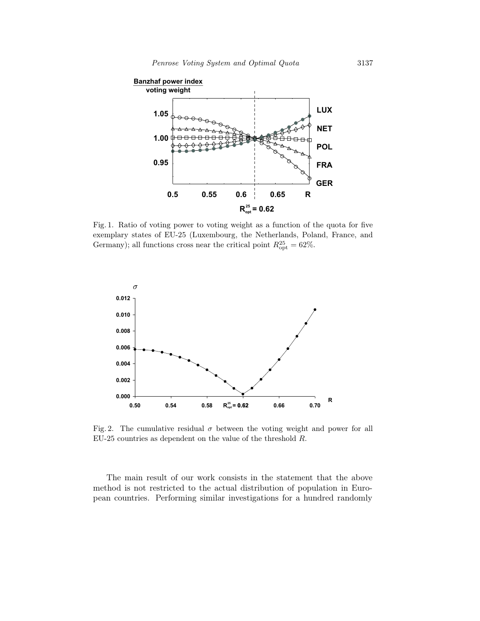

Fig. 1. Ratio of voting power to voting weight as a function of the quota for five exemplary states of EU-25 (Luxembourg, the Netherlands, Poland, France, and Germany); all functions cross near the critical point  $R_{\rm opt}^{25} = 62\%$ .



Fig. 2. The cumulative residual  $\sigma$  between the voting weight and power for all EU-25 countries as dependent on the value of the threshold R.

The main result of our work consists in the statement that the above method is not restricted to the actual distribution of population in European countries. Performing similar investigations for a hundred randomly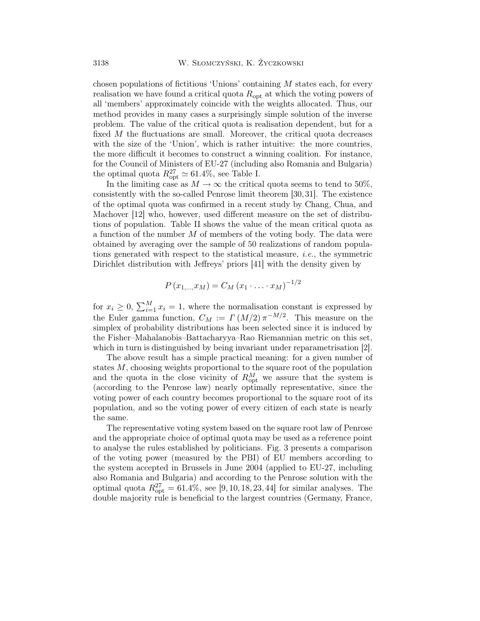chosen populations of fictitious 'Unions' containing  $M$  states each, for every realisation we have found a critical quota  $R_{\text{opt}}$  at which the voting powers of all 'members' approximately coincide with the weights allocated. Thus, our method provides in many cases a surprisingly simple solution of the inverse problem. The value of the critical quota is realisation dependent, but for a fixed  $M$  the fluctuations are small. Moreover, the critical quota decreases with the size of the 'Union', which is rather intuitive: the more countries, the more difficult it becomes to construct a winning coalition. For instance, for the Council of Ministers of EU-27 (including also Romania and Bulgaria) the optimal quota  $R_{\rm opt}^{27} \simeq 61.4\%$ , see Table I.

In the limiting case as  $M \to \infty$  the critical quota seems to tend to 50%, consistently with the so-called Penrose limit theorem [30,31]. The existence of the optimal quota was confirmed in a recent study by Chang, Chua, and Machover [12] who, however, used different measure on the set of distributions of population. Table II shows the value of the mean critical quota as a function of the number  $M$  of members of the voting body. The data were obtained by averaging over the sample of 50 realizations of random populations generated with respect to the statistical measure, i.e., the symmetric Dirichlet distribution with Jeffreys' priors [41] with the density given by

$$
P(x_{1,...,x_M}) = C_M (x_1 \cdot ... \cdot x_M)^{-1/2}
$$

for  $x_i \geq 0$ ,  $\sum_{i=1}^{M} x_i = 1$ , where the normalisation constant is expressed by the Euler gamma function,  $C_M := \Gamma(M/2) \pi^{-M/2}$ . This measure on the simplex of probability distributions has been selected since it is induced by the Fisher–Mahalanobis–Battacharyya–Rao Riemannian metric on this set, which in turn is distinguished by being invariant under reparametrisation [2].

The above result has a simple practical meaning: for a given number of states M, choosing weights proportional to the square root of the population and the quota in the close vicinity of  $R_{\text{opt}}^M$  we assure that the system is (according to the Penrose law) nearly optimally representative, since the voting power of each country becomes proportional to the square root of its population, and so the voting power of every citizen of each state is nearly the same.

The representative voting system based on the square root law of Penrose and the appropriate choice of optimal quota may be used as a reference point to analyse the rules established by politicians. Fig. 3 presents a comparison of the voting power (measured by the PBI) of EU members according to the system accepted in Brussels in June 2004 (applied to EU-27, including also Romania and Bulgaria) and according to the Penrose solution with the optimal quota  $R_{\text{opt}}^{27} = 61.4\%$ , see [9, 10, 18, 23, 44] for similar analyses. The double majority rule is beneficial to the largest countries (Germany, France,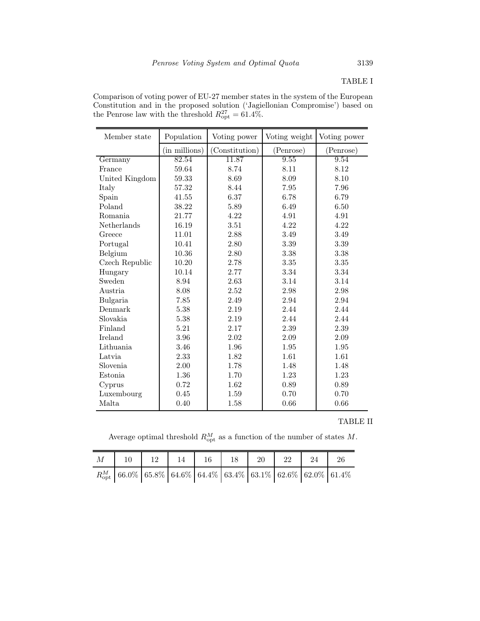TABLE I

Comparison of voting power of EU-27 member states in the system of the European Constitution and in the proposed solution ('Jagiellonian Compromise') based on the Penrose law with the threshold  $R_{\rm opt}^{27} = 61.4\%$ .

| Member state   | Population    | Voting power   | Voting weight | Voting power |  |
|----------------|---------------|----------------|---------------|--------------|--|
|                | (in millions) | (Constitution) | (Penrose)     | (Penrose)    |  |
| Germany        | 82.54         | 11.87          | 9.55          | 9.54         |  |
| France         | 59.64         | 8.74           | 8.11          | 8.12         |  |
| United Kingdom | 59.33         | 8.69           | 8.09          | 8.10         |  |
| Italy          | 57.32         | 8.44           | 7.95          | 7.96         |  |
| Spain          | 41.55         | 6.37           | 6.78          | 6.79         |  |
| Poland         | 38.22         | 5.89           | 6.49          | 6.50         |  |
| Romania        | 21.77         | 4.22           | 4.91          | 4.91         |  |
| Netherlands    | 16.19         | 3.51           | 4.22          | 4.22         |  |
| Greece         | 11.01         | 2.88           | 3.49          | 3.49         |  |
| Portugal       | 10.41         | 2.80           | $3.39\,$      | 3.39         |  |
| Belgium        | 10.36         | 2.80           | 3.38          | 3.38         |  |
| Czech Republic | 10.20         | 2.78           | 3.35          | $3.35\,$     |  |
| Hungary        | 10.14         | 2.77           | 3.34          | 3.34         |  |
| Sweden         | 8.94          | 2.63           | 3.14          | 3.14         |  |
| Austria        | 8.08          | 2.52           | 2.98          | 2.98         |  |
| Bulgaria       | 7.85          | 2.49           | 2.94          | 2.94         |  |
| Denmark        | 5.38          | 2.19           | 2.44          | 2.44         |  |
| Slovakia       | 5.38          | 2.19           | 2.44          | 2.44         |  |
| Finland        | 5.21          | 2.17           | 2.39          | 2.39         |  |
| Ireland        | 3.96          | 2.02           | 2.09          | 2.09         |  |
| Lithuania      | 3.46          | 1.96           | 1.95          | 1.95         |  |
| Latvia         | 2.33          | 1.82           | 1.61          | 1.61         |  |
| Slovenia       | 2.00          | 1.78           | 1.48          | 1.48         |  |
| Estonia        | 1.36          | 1.70           | 1.23          | 1.23         |  |
| Cyprus         | 0.72          | 1.62           | 0.89          | 0.89         |  |
| Luxembourg     | 0.45          | 1.59           | 0.70          | 0.70         |  |
| Malta          | 0.40          | 1.58           | 0.66          | 0.66         |  |

TABLE II

Average optimal threshold  $R_{\text{opt}}^M$  as a function of the number of states M.

| M |  |  |  |                                                                         |  |
|---|--|--|--|-------------------------------------------------------------------------|--|
|   |  |  |  | $R_{\rm opt}^{M}$ 66.0% 65.8% 64.6% 64.4% 63.4% 63.1% 62.6% 62.0% 61.4% |  |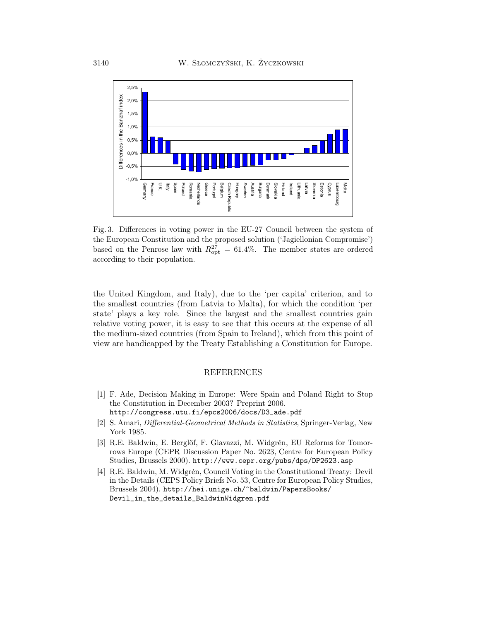

Fig. 3. Differences in voting power in the EU-27 Council between the system of the European Constitution and the proposed solution ('Jagiellonian Compromise') based on the Penrose law with  $R_{\rm opt}^{27} = 61.4\%$ . The member states are ordered according to their population.

the United Kingdom, and Italy), due to the 'per capita' criterion, and to the smallest countries (from Latvia to Malta), for which the condition 'per state' plays a key role. Since the largest and the smallest countries gain relative voting power, it is easy to see that this occurs at the expense of all the medium-sized countries (from Spain to Ireland), which from this point of view are handicapped by the Treaty Establishing a Constitution for Europe.

## REFERENCES

- [1] F. Ade, Decision Making in Europe: Were Spain and Poland Right to Stop the Constitution in December 2003? Preprint 2006. http://congress.utu.fi/epcs2006/docs/D3\_ade.pdf
- [2] S. Amari, Differential-Geometrical Methods in Statistics, Springer-Verlag, New York 1985.
- [3] R.E. Baldwin, E. Berglöf, F. Giavazzi, M. Widgrén, EU Reforms for Tomorrows Europe (CEPR Discussion Paper No. 2623, Centre for European Policy Studies, Brussels 2000). http://www.cepr.org/pubs/dps/DP2623.asp
- [4] R.E. Baldwin, M. Widgrén, Council Voting in the Constitutional Treaty: Devil in the Details (CEPS Policy Briefs No. 53, Centre for European Policy Studies, Brussels 2004). http://hei.unige.ch/~baldwin/PapersBooks/ Devil\_in\_the\_details\_BaldwinWidgren.pdf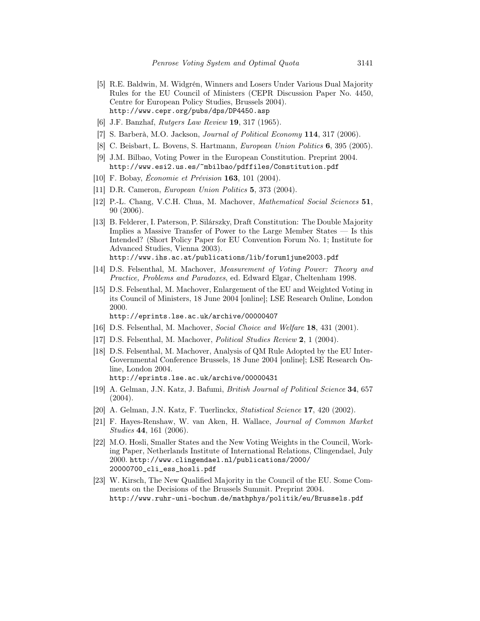- [5] R.E. Baldwin, M. Widgrén, Winners and Losers Under Various Dual Majority Rules for the EU Council of Ministers (CEPR Discussion Paper No. 4450, Centre for European Policy Studies, Brussels 2004). http://www.cepr.org/pubs/dps/DP4450.asp
- [6] J.F. Banzhaf, Rutgers Law Review 19, 317 (1965).
- [7] S. Barberà, M.O. Jackson, Journal of Political Economy 114, 317 (2006).
- [8] C. Beisbart, L. Bovens, S. Hartmann, European Union Politics 6, 395 (2005).
- [9] J.M. Bilbao, Voting Power in the European Constitution. Preprint 2004. http://www.esi2.us.es/~mbilbao/pdffiles/Constitution.pdf
- [10] F. Bobay, *Économie et Prévision* **163**, 101 (2004).
- [11] D.R. Cameron, European Union Politics 5, 373 (2004).
- [12] P.-L. Chang, V.C.H. Chua, M. Machover, Mathematical Social Sciences 51, 90 (2006).
- [13] B. Felderer, I. Paterson, P. Silárszky, Draft Constitution: The Double Majority Implies a Massive Transfer of Power to the Large Member States — Is this Intended? (Short Policy Paper for EU Convention Forum No. 1; Institute for Advanced Studies, Vienna 2003). http://www.ihs.ac.at/publications/lib/forum1june2003.pdf
- [14] D.S. Felsenthal, M. Machover, Measurement of Voting Power: Theory and Practice, Problems and Paradoxes, ed. Edward Elgar, Cheltenham 1998.
- [15] D.S. Felsenthal, M. Machover, Enlargement of the EU and Weighted Voting in its Council of Ministers, 18 June 2004 [online]; LSE Research Online, London 2000.

http://eprints.lse.ac.uk/archive/00000407

- [16] D.S. Felsenthal, M. Machover, Social Choice and Welfare 18, 431 (2001).
- [17] D.S. Felsenthal, M. Machover, Political Studies Review 2, 1 (2004).
- [18] D.S. Felsenthal, M. Machover, Analysis of QM Rule Adopted by the EU Inter-Governmental Conference Brussels, 18 June 2004 [online]; LSE Research Online, London 2004. http://eprints.lse.ac.uk/archive/00000431
- [19] A. Gelman, J.N. Katz, J. Bafumi, British Journal of Political Science 34, 657  $(2004).$
- [20] A. Gelman, J.N. Katz, F. Tuerlinckx, *Statistical Science* 17, 420 (2002).
- [21] F. Hayes-Renshaw, W. van Aken, H. Wallace, Journal of Common Market Studies 44, 161 (2006).
- [22] M.O. Hosli, Smaller States and the New Voting Weights in the Council, Working Paper, Netherlands Institute of International Relations, Clingendael, July 2000. http://www.clingendael.nl/publications/2000/ 20000700\_cli\_ess\_hosli.pdf
- [23] W. Kirsch, The New Qualified Majority in the Council of the EU. Some Comments on the Decisions of the Brussels Summit. Preprint 2004. http://www.ruhr-uni-bochum.de/mathphys/politik/eu/Brussels.pdf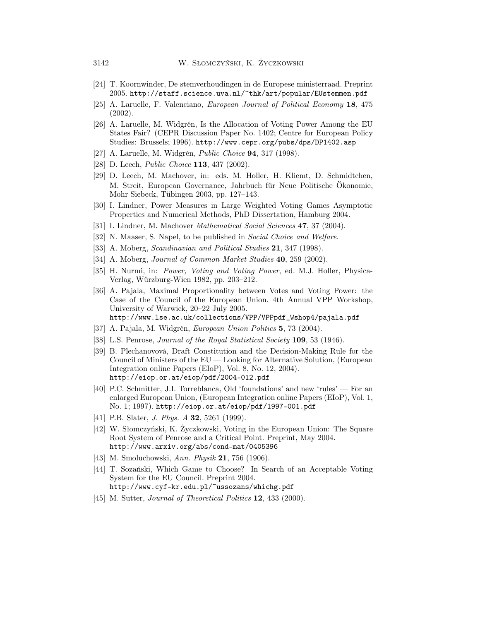- [24] T. Koornwinder, De stemverhoudingen in de Europese ministerraad. Preprint 2005. http://staff.science.uva.nl/~thk/art/popular/EUstemmen.pdf
- [25] A. Laruelle, F. Valenciano, European Journal of Political Economy 18, 475 (2002).
- [26] A. Laruelle, M. Widgrén, Is the Allocation of Voting Power Among the EU States Fair? (CEPR Discussion Paper No. 1402; Centre for European Policy Studies: Brussels; 1996). http://www.cepr.org/pubs/dps/DP1402.asp
- [27] A. Laruelle, M. Widgrén, Public Choice 94, 317 (1998).
- [28] D. Leech, *Public Choice* **113**, 437 (2002).
- [29] D. Leech, M. Machover, in: eds. M. Holler, H. Kliemt, D. Schmidtchen, M. Streit, European Governance, Jahrbuch für Neue Politische Ökonomie, Mohr Siebeck, Tübingen 2003, pp. 127–143.
- [30] I. Lindner, Power Measures in Large Weighted Voting Games Asymptotic Properties and Numerical Methods, PhD Dissertation, Hamburg 2004.
- [31] I. Lindner, M. Machover *Mathematical Social Sciences* 47, 37 (2004).
- [32] N. Maaser, S. Napel, to be published in Social Choice and Welfare.
- [33] A. Moberg, *Scandinavian and Political Studies* **21**, 347 (1998).
- [34] A. Moberg, *Journal of Common Market Studies* **40**, 259 (2002).
- [35] H. Nurmi, in: Power, Voting and Voting Power, ed. M.J. Holler, Physica-Verlag, Würzburg-Wien 1982, pp. 203–212.
- [36] A. Pajala, Maximal Proportionality between Votes and Voting Power: the Case of the Council of the European Union. 4th Annual VPP Workshop, University of Warwick, 20–22 July 2005. http://www.lse.ac.uk/collections/VPP/VPPpdf\_Wshop4/pajala.pdf
- [37] A. Pajala, M. Widgrén, European Union Politics 5, 73 (2004).
- [38] L.S. Penrose, *Journal of the Royal Statistical Society* **109**, 53 (1946).
- [39] B. Plechanovová, Draft Constitution and the Decision-Making Rule for the Council of Ministers of the EU — Looking for Alternative Solution, (European Integration online Papers (EIoP), Vol. 8, No. 12, 2004). http://eiop.or.at/eiop/pdf/2004-012.pdf
- [40] P.C. Schmitter, J.I. Torreblanca, Old 'foundations' and new 'rules' For an enlarged European Union, (European Integration online Papers (EIoP), Vol. 1, No. 1; 1997). http://eiop.or.at/eiop/pdf/1997-001.pdf
- [41] P.B. Slater, *J. Phys. A* **32**, 5261 (1999).
- [42] W. Słomczyński, K. Życzkowski, Voting in the European Union: The Square Root System of Penrose and a Critical Point. Preprint, May 2004. http://www.arxiv.org/abs/cond-mat/0405396
- [43] M. Smoluchowski, Ann. Physik 21, 756 (1906).
- [44] T. Sozański, Which Game to Choose? In Search of an Acceptable Voting System for the EU Council. Preprint 2004. http://www.cyf-kr.edu.pl/~ussozans/whichg.pdf
- [45] M. Sutter, *Journal of Theoretical Politics* **12**, 433 (2000).